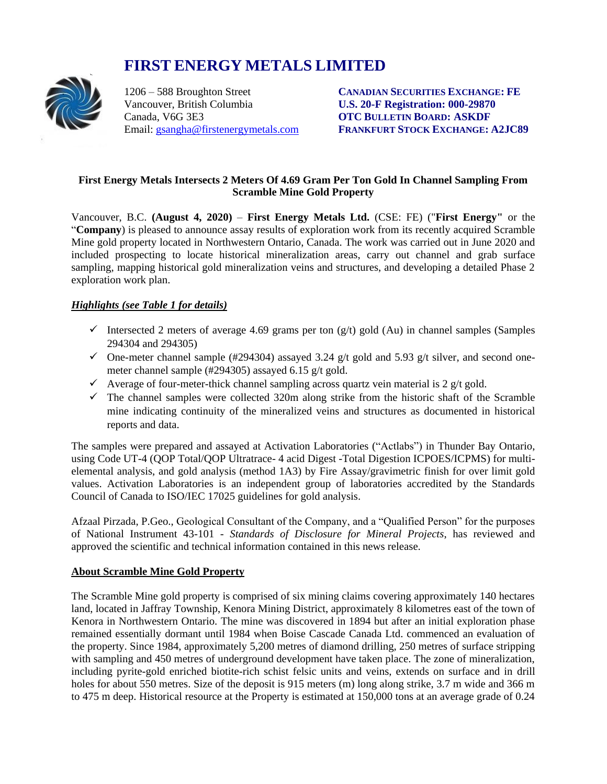# **FIRST ENERGY METALS LIMITED**



Vancouver, British Columbia **U.S. 20-F Registration: 000-29870** Canada, V6G 3E3 **OTC BULLETIN BOARD: ASKDF**

1206 – 588 Broughton Street **CANADIAN SECURITIES EXCHANGE: FE** Email: [gsangha@firstenergymetals.com](mailto:gsangha@firstenergymetals.com) **FRANKFURT STOCK EXCHANGE: A2JC89**

## **First Energy Metals Intersects 2 Meters Of 4.69 Gram Per Ton Gold In Channel Sampling From Scramble Mine Gold Property**

Vancouver, B.C. **(August 4, 2020)** – **First Energy Metals Ltd.** (CSE: FE) ("**First Energy"** or the "**Company**) is pleased to announce assay results of exploration work from its recently acquired Scramble Mine gold property located in Northwestern Ontario, Canada. The work was carried out in June 2020 and included prospecting to locate historical mineralization areas, carry out channel and grab surface sampling, mapping historical gold mineralization veins and structures, and developing a detailed Phase 2 exploration work plan.

# *Highlights (see Table 1 for details)*

- Intersected 2 meters of average 4.69 grams per ton  $(g/t)$  gold  $(Au)$  in channel samples (Samples 294304 and 294305)
- $\checkmark$  One-meter channel sample (#294304) assayed 3.24 g/t gold and 5.93 g/t silver, and second onemeter channel sample (#294305) assayed 6.15 g/t gold.
- $\checkmark$  Average of four-meter-thick channel sampling across quartz vein material is 2 g/t gold.
- $\checkmark$  The channel samples were collected 320m along strike from the historic shaft of the Scramble mine indicating continuity of the mineralized veins and structures as documented in historical reports and data.

The samples were prepared and assayed at Activation Laboratories ("Actlabs") in Thunder Bay Ontario, using Code UT-4 (QOP Total/QOP Ultratrace- 4 acid Digest -Total Digestion ICPOES/ICPMS) for multielemental analysis, and gold analysis (method 1A3) by Fire Assay/gravimetric finish for over limit gold values. Activation Laboratories is an independent group of laboratories accredited by the Standards Council of Canada to ISO/IEC 17025 guidelines for gold analysis.

Afzaal Pirzada, P.Geo., Geological Consultant of the Company, and a "Qualified Person" for the purposes of National Instrument 43-101 - *Standards of Disclosure for Mineral Projects*, has reviewed and approved the scientific and technical information contained in this news release.

## **About Scramble Mine Gold Property**

The Scramble Mine gold property is comprised of six mining claims covering approximately 140 hectares land, located in Jaffray Township, Kenora Mining District, approximately 8 kilometres east of the town of Kenora in Northwestern Ontario. The mine was discovered in 1894 but after an initial exploration phase remained essentially dormant until 1984 when Boise Cascade Canada Ltd. commenced an evaluation of the property. Since 1984, approximately 5,200 metres of diamond drilling, 250 metres of surface stripping with sampling and 450 metres of underground development have taken place. The zone of mineralization, including pyrite-gold enriched biotite-rich schist felsic units and veins, extends on surface and in drill holes for about 550 metres. Size of the deposit is 915 meters (m) long along strike, 3.7 m wide and 366 m to 475 m deep. Historical resource at the Property is estimated at 150,000 tons at an average grade of 0.24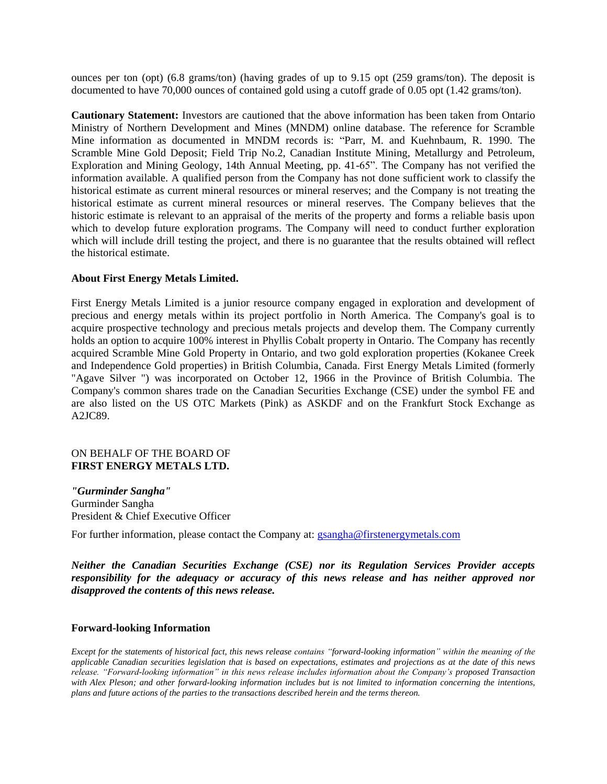ounces per ton (opt) (6.8 grams/ton) (having grades of up to 9.15 opt (259 grams/ton). The deposit is documented to have 70,000 ounces of contained gold using a cutoff grade of 0.05 opt (1.42 grams/ton).

**Cautionary Statement:** Investors are cautioned that the above information has been taken from Ontario Ministry of Northern Development and Mines (MNDM) online database. The reference for Scramble Mine information as documented in MNDM records is: "Parr, M. and Kuehnbaum, R. 1990. The Scramble Mine Gold Deposit; Field Trip No.2, Canadian Institute Mining, Metallurgy and Petroleum, Exploration and Mining Geology, 14th Annual Meeting, pp. 41-65". The Company has not verified the information available. A qualified person from the Company has not done sufficient work to classify the historical estimate as current mineral resources or mineral reserves; and the Company is not treating the historical estimate as current mineral resources or mineral reserves. The Company believes that the historic estimate is relevant to an appraisal of the merits of the property and forms a reliable basis upon which to develop future exploration programs. The Company will need to conduct further exploration which will include drill testing the project, and there is no guarantee that the results obtained will reflect the historical estimate.

#### **About First Energy Metals Limited.**

First Energy Metals Limited is a junior resource company engaged in exploration and development of precious and energy metals within its project portfolio in North America. The Company's goal is to acquire prospective technology and precious metals projects and develop them. The Company currently holds an option to acquire 100% interest in Phyllis Cobalt property in Ontario. The Company has recently acquired Scramble Mine Gold Property in Ontario, and two gold exploration properties (Kokanee Creek and Independence Gold properties) in British Columbia, Canada. First Energy Metals Limited (formerly "Agave Silver ") was incorporated on October 12, 1966 in the Province of British Columbia. The Company's common shares trade on the Canadian Securities Exchange (CSE) under the symbol FE and are also listed on the US OTC Markets (Pink) as ASKDF and on the Frankfurt Stock Exchange as A2JC89.

### ON BEHALF OF THE BOARD OF **FIRST ENERGY METALS LTD.**

*"Gurminder Sangha"* Gurminder Sangha President & Chief Executive Officer

For further information, please contact the Company at: [gsangha@firstenergymetals.com](mailto:gsangha@firstenergymetals.com)

*Neither the Canadian Securities Exchange (CSE) nor its Regulation Services Provider accepts responsibility for the adequacy or accuracy of this news release and has neither approved nor disapproved the contents of this news release.*

#### **Forward-looking Information**

*Except for the statements of historical fact, this news release contains "forward-looking information" within the meaning of the applicable Canadian securities legislation that is based on expectations, estimates and projections as at the date of this news release. "Forward-looking information" in this news release includes information about the Company's proposed Transaction with Alex Pleson; and other forward-looking information includes but is not limited to information concerning the intentions, plans and future actions of the parties to the transactions described herein and the terms thereon.*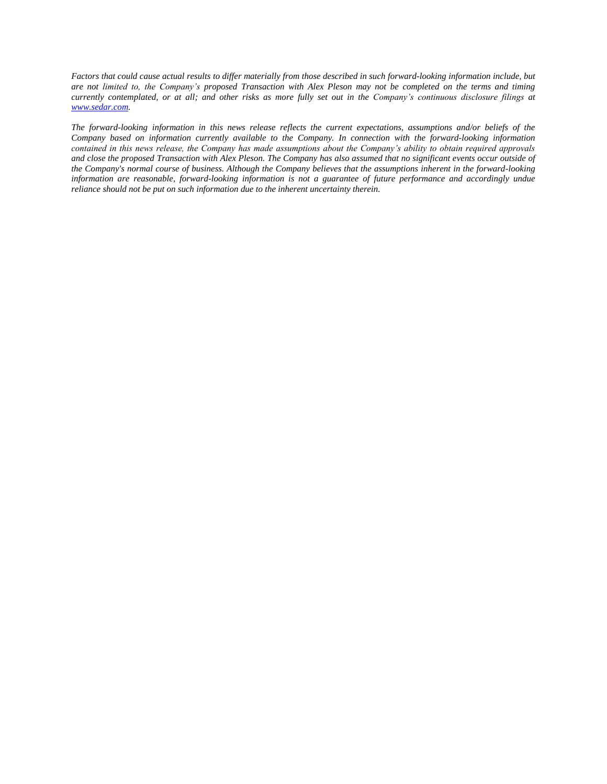*Factors that could cause actual results to differ materially from those described in such forward-looking information include, but are not limited to, the Company's proposed Transaction with Alex Pleson may not be completed on the terms and timing currently contemplated, or at all; and other risks as more fully set out in the Company's continuous disclosure filings at [www.sedar.com.](http://www.sedar.com/)*

*The forward-looking information in this news release reflects the current expectations, assumptions and/or beliefs of the Company based on information currently available to the Company. In connection with the forward-looking information contained in this news release, the Company has made assumptions about the Company's ability to obtain required approvals and close the proposed Transaction with Alex Pleson. The Company has also assumed that no significant events occur outside of the Company's normal course of business. Although the Company believes that the assumptions inherent in the forward-looking information are reasonable, forward-looking information is not a guarantee of future performance and accordingly undue reliance should not be put on such information due to the inherent uncertainty therein.*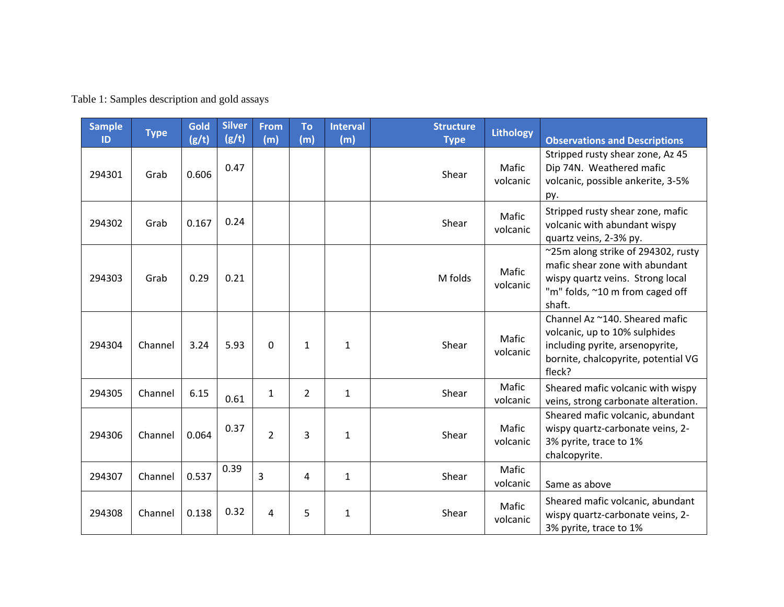| <b>Sample</b><br>ID | <b>Type</b> | Gold<br>(g/t) | <b>Silver</b><br>(g/t) | <b>From</b><br>(m) | <b>To</b><br>(m) | <b>Interval</b><br>(m) | <b>Structure</b><br><b>Type</b> | <b>Lithology</b>  | <b>Observations and Descriptions</b>                                                                                                                  |
|---------------------|-------------|---------------|------------------------|--------------------|------------------|------------------------|---------------------------------|-------------------|-------------------------------------------------------------------------------------------------------------------------------------------------------|
| 294301              | Grab        | 0.606         | 0.47                   |                    |                  |                        | Shear                           | Mafic<br>volcanic | Stripped rusty shear zone, Az 45<br>Dip 74N. Weathered mafic<br>volcanic, possible ankerite, 3-5%<br>py.                                              |
| 294302              | Grab        | 0.167         | 0.24                   |                    |                  |                        | Shear                           | Mafic<br>volcanic | Stripped rusty shear zone, mafic<br>volcanic with abundant wispy<br>quartz veins, 2-3% py.                                                            |
| 294303              | Grab        | 0.29          | 0.21                   |                    |                  |                        | M folds                         | Mafic<br>volcanic | ~25m along strike of 294302, rusty<br>mafic shear zone with abundant<br>wispy quartz veins. Strong local<br>"m" folds, ~10 m from caged off<br>shaft. |
| 294304              | Channel     | 3.24          | 5.93                   | $\Omega$           | $\mathbf{1}$     | $\mathbf{1}$           | Shear                           | Mafic<br>volcanic | Channel Az ~140. Sheared mafic<br>volcanic, up to 10% sulphides<br>including pyrite, arsenopyrite,<br>bornite, chalcopyrite, potential VG<br>fleck?   |
| 294305              | Channel     | 6.15          | 0.61                   | $\mathbf{1}$       | $\overline{2}$   | $\mathbf{1}$           | Shear                           | Mafic<br>volcanic | Sheared mafic volcanic with wispy<br>veins, strong carbonate alteration.                                                                              |
| 294306              | Channel     | 0.064         | 0.37                   | $\overline{2}$     | 3                | 1                      | Shear                           | Mafic<br>volcanic | Sheared mafic volcanic, abundant<br>wispy quartz-carbonate veins, 2-<br>3% pyrite, trace to 1%<br>chalcopyrite.                                       |
| 294307              | Channel     | 0.537         | 0.39                   | 3                  | 4                | $\mathbf{1}$           | Shear                           | Mafic<br>volcanic | Same as above                                                                                                                                         |
| 294308              | Channel     | 0.138         | 0.32                   | 4                  | 5                | 1                      | Shear                           | Mafic<br>volcanic | Sheared mafic volcanic, abundant<br>wispy quartz-carbonate veins, 2-<br>3% pyrite, trace to 1%                                                        |